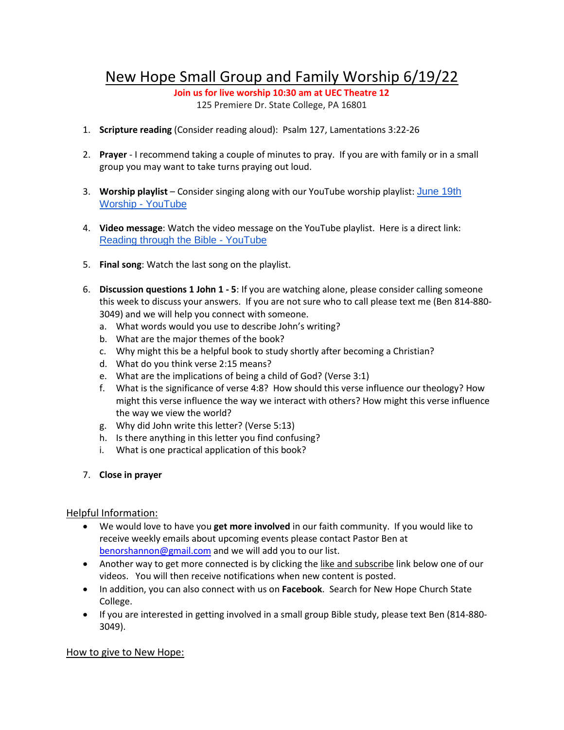## New Hope Small Group and Family Worship 6/19/22

**Join us for live worship 10:30 am at UEC Theatre 12**  125 Premiere Dr. State College, PA 16801

- 1. **Scripture reading** (Consider reading aloud): Psalm 127, Lamentations 3:22-26
- 2. **Prayer** I recommend taking a couple of minutes to pray. If you are with family or in a small group you may want to take turns praying out loud.
- 3. **Worship playlist** Consider singing along with our YouTube worship playlist: [June 19th](https://www.youtube.com/playlist?list=PLJuLmmTtLlXMmBF2w94egZWrVg6VzvCT0)  [Worship -](https://www.youtube.com/playlist?list=PLJuLmmTtLlXMmBF2w94egZWrVg6VzvCT0) YouTube
- 4. **Video message**: Watch the video message on the YouTube playlist. Here is a direct link: [Reading through the Bible -](https://www.youtube.com/watch?v=5a0OVoRzuGM) YouTube
- 5. **Final song**: Watch the last song on the playlist.
- 6. **Discussion questions 1 John 1 - 5**: If you are watching alone, please consider calling someone this week to discuss your answers. If you are not sure who to call please text me (Ben 814-880- 3049) and we will help you connect with someone.
	- a. What words would you use to describe John's writing?
	- b. What are the major themes of the book?
	- c. Why might this be a helpful book to study shortly after becoming a Christian?
	- d. What do you think verse 2:15 means?
	- e. What are the implications of being a child of God? (Verse 3:1)
	- f. What is the significance of verse 4:8? How should this verse influence our theology? How might this verse influence the way we interact with others? How might this verse influence the way we view the world?
	- g. Why did John write this letter? (Verse 5:13)
	- h. Is there anything in this letter you find confusing?
	- i. What is one practical application of this book?
- 7. **Close in prayer**

## Helpful Information:

- We would love to have you **get more involved** in our faith community. If you would like to receive weekly emails about upcoming events please contact Pastor Ben at [benorshannon@gmail.com](mailto:benorshannon@gmail.com) and we will add you to our list.
- Another way to get more connected is by clicking the like and subscribe link below one of our videos. You will then receive notifications when new content is posted.
- In addition, you can also connect with us on **Facebook**. Search for New Hope Church State College.
- If you are interested in getting involved in a small group Bible study, please text Ben (814-880- 3049).

## How to give to New Hope: